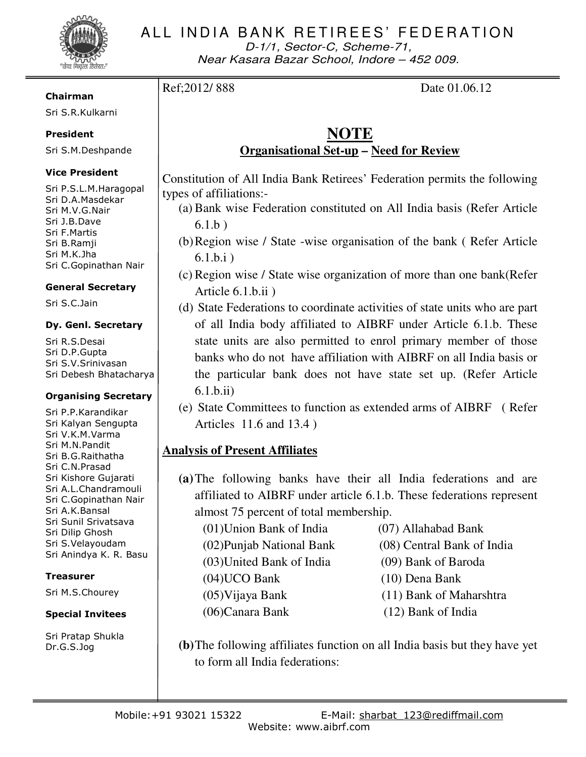

D-1/1, Sector-C, Scheme-71, Near Kasara Bazar School, Indore – 452 009.

Ref: 2012/888 Date 01.06.12

# **NOTE Organisational Set-up – Need for Review**

Constitution of All India Bank Retirees' Federation permits the following types of affiliations:-

- (a) Bank wise Federation constituted on All India basis (Refer Article 6.1.b )
- (b)Region wise / State -wise organisation of the bank ( Refer Article 6.1.b.i )
- (c) Region wise / State wise organization of more than one bank(Refer Article 6.1.b.ii )
- (d) State Federations to coordinate activities of state units who are part of all India body affiliated to AIBRF under Article 6.1.b. These state units are also permitted to enrol primary member of those banks who do not have affiliation with AIBRF on all India basis or the particular bank does not have state set up. (Refer Article 6.1.b.ii)
- (e) State Committees to function as extended arms of AIBRF ( Refer Articles 11.6 and 13.4 )

# **Analysis of Present Affiliates**

**(a)**The following banks have their all India federations and are affiliated to AIBRF under article 6.1.b. These federations represent almost 75 percent of total membership.

(01)Union Bank of India (07) Allahabad Bank (02)Punjab National Bank (08) Central Bank of India (03)United Bank of India (09) Bank of Baroda (04)UCO Bank (10) Dena Bank (05)Vijaya Bank (11) Bank of Maharshtra (06)Canara Bank (12) Bank of India

- 
- 
- 
- 
- 
- 

**(b)**The following affiliates function on all India basis but they have yet to form all India federations:

## Chairman

Sri S.R.Kulkarni

## President

Sri S.M.Deshpande

## Vice President

Sri P.S.L.M.Haragopal Sri D.A.Masdekar Sri M.V.G.Nair Sri J.B.Dave Sri F.Martis Sri B.Ramji Sri M.K.Jha Sri C.Gopinathan Nair

## General Secretary

Sri S.C.Jain

## Dy. Genl. Secretary

Sri R.S.Desai Sri D.P.Gupta Sri S.V.Srinivasan Sri Debesh Bhatacharya

## Organising Secretary

Sri P.P.Karandikar Sri Kalyan Sengupta Sri V.K.M.Varma Sri M.N.Pandit Sri B.G.Raithatha Sri C.N.Prasad Sri Kishore Gujarati Sri A.L.Chandramouli Sri C.Gopinathan Nair Sri A.K.Bansal Sri Sunil Srivatsava Sri Dilip Ghosh Sri S.Velayoudam Sri Anindya K. R. Basu

## Treasurer

Sri M.S.Chourey

## Special Invitees

Sri Pratap Shukla Dr.G.S.Jog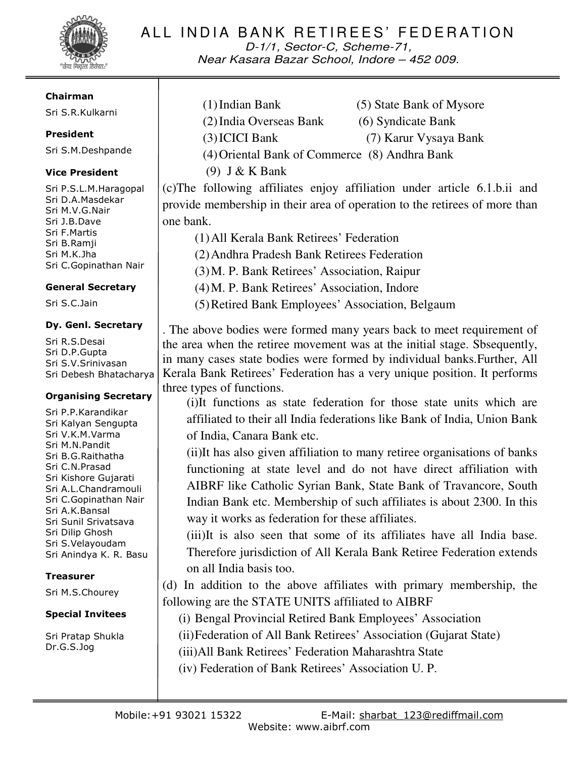

D-1/1, Sector-C, Scheme-71, Near Kasara Bazar School, Indore – 452 009.

#### Chairman

Sri S.R.Kulkarni

### President

Sri S.M.Deshpande

## Vice President

Sri P.S.L.M.Haragopal Sri D.A.Masdekar Sri M.V.G.Nair Sri J.B.Dave Sri F.Martis Sri B.Ramji Sri M.K.Jha Sri C.Gopinathan Nair

### General Secretary

Sri S.C.Jain

### Dy. Genl. Secretary

Sri R.S.Desai Sri D.P.Gupta Sri S.V.Srinivasan Sri Debesh Bhatacharya

### Organising Secretary

Sri P.P.Karandikar Sri Kalyan Sengupta Sri V.K.M.Varma Sri M.N.Pandit Sri B.G.Raithatha Sri C.N.Prasad Sri Kishore Gujarati Sri A.L.Chandramouli Sri C.Gopinathan Nair Sri A.K.Bansal Sri Sunil Srivatsava Sri Dilip Ghosh Sri S.Velayoudam Sri Anindya K. R. Basu

## Treasurer

Sri M.S.Chourey

## Special Invitees

Sri Pratap Shukla Dr.G.S.Jog

- (1)Indian Bank (5) State Bank of Mysore (2)India Overseas Bank (6) Syndicate Bank (3)ICICI Bank (7) Karur Vysaya Bank
	-
	-
- (4)Oriental Bank of Commerce (8) Andhra Bank
- (9) J & K Bank

(c)The following affiliates enjoy affiliation under article 6.1.b.ii and provide membership in their area of operation to the retirees of more than one bank.

(1)All Kerala Bank Retirees' Federation (2)Andhra Pradesh Bank Retirees Federation (3)M. P. Bank Retirees' Association, Raipur (4)M. P. Bank Retirees' Association, Indore (5)Retired Bank Employees' Association, Belgaum

. The above bodies were formed many years back to meet requirement of the area when the retiree movement was at the initial stage. Sbsequently, in many cases state bodies were formed by individual banks.Further, All Kerala Bank Retirees' Federation has a very unique position. It performs three types of functions.

(i)It functions as state federation for those state units which are affiliated to their all India federations like Bank of India, Union Bank of India, Canara Bank etc.

(ii)It has also given affiliation to many retiree organisations of banks functioning at state level and do not have direct affiliation with AIBRF like Catholic Syrian Bank, State Bank of Travancore, South Indian Bank etc. Membership of such affiliates is about 2300. In this way it works as federation for these affiliates.

(iii)It is also seen that some of its affiliates have all India base. Therefore jurisdiction of All Kerala Bank Retiree Federation extends on all India basis too.

(d) In addition to the above affiliates with primary membership, the following are the STATE UNITS affiliated to AIBRF

(i) Bengal Provincial Retired Bank Employees' Association

(ii)Federation of All Bank Retirees' Association (Gujarat State)

(iii)All Bank Retirees' Federation Maharashtra State

(iv) Federation of Bank Retirees' Association U. P.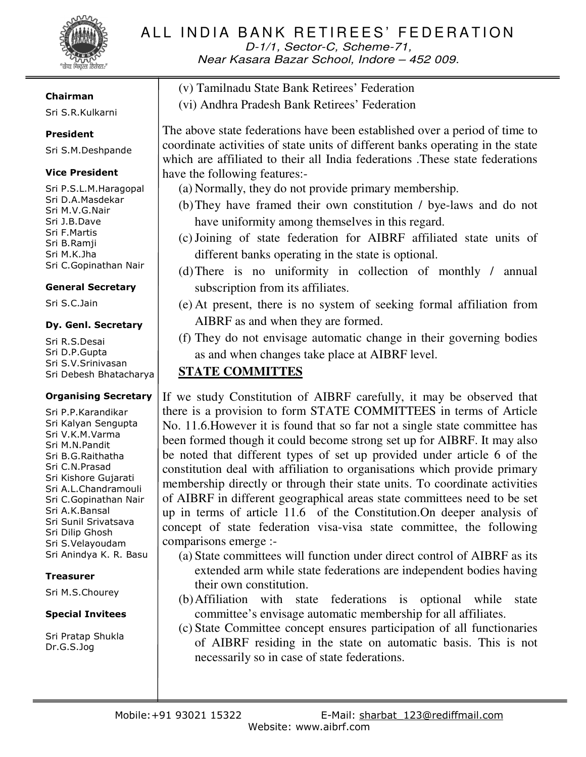

D-1/1, Sector-C, Scheme-71, Near Kasara Bazar School, Indore – 452 009.

#### Chairman

Sri S.R.Kulkarni

### President

Sri S.M.Deshpande

#### Vice President

Sri P.S.L.M.Haragopal Sri D.A.Masdekar Sri M.V.G.Nair Sri J.B.Dave Sri F.Martis Sri B.Ramji Sri M.K.Jha Sri C.Gopinathan Nair

#### General Secretary

Sri S.C.Jain

#### Dy. Genl. Secretary

Sri R.S.Desai Sri D.P.Gupta Sri S.V.Srinivasan Sri Debesh Bhatacharya

#### Organising Secretary

Sri P.P.Karandikar Sri Kalyan Sengupta Sri V.K.M.Varma Sri M.N.Pandit Sri B.G.Raithatha Sri C.N.Prasad Sri Kishore Gujarati Sri A.L.Chandramouli Sri C.Gopinathan Nair Sri A.K.Bansal Sri Sunil Srivatsava Sri Dilip Ghosh Sri S.Velayoudam Sri Anindya K. R. Basu

### **Treasurer**

Sri M.S.Chourey

### Special Invitees

Sri Pratap Shukla Dr.G.S.Jog

(v) Tamilnadu State Bank Retirees' Federation (vi) Andhra Pradesh Bank Retirees' Federation

The above state federations have been established over a period of time to coordinate activities of state units of different banks operating in the state which are affiliated to their all India federations .These state federations have the following features:-

- (a) Normally, they do not provide primary membership.
- (b)They have framed their own constitution / bye-laws and do not have uniformity among themselves in this regard.
- (c)Joining of state federation for AIBRF affiliated state units of different banks operating in the state is optional.
- (d)There is no uniformity in collection of monthly / annual subscription from its affiliates.
- (e) At present, there is no system of seeking formal affiliation from AIBRF as and when they are formed.
- (f) They do not envisage automatic change in their governing bodies as and when changes take place at AIBRF level.

# **STATE COMMITTES**

If we study Constitution of AIBRF carefully, it may be observed that there is a provision to form STATE COMMITTEES in terms of Article No. 11.6.However it is found that so far not a single state committee has been formed though it could become strong set up for AIBRF. It may also be noted that different types of set up provided under article 6 of the constitution deal with affiliation to organisations which provide primary membership directly or through their state units. To coordinate activities of AIBRF in different geographical areas state committees need to be set up in terms of article 11.6 of the Constitution.On deeper analysis of concept of state federation visa-visa state committee, the following comparisons emerge :-

- (a) State committees will function under direct control of AIBRF as its extended arm while state federations are independent bodies having their own constitution.
- (b)Affiliation with state federations is optional while state committee's envisage automatic membership for all affiliates.
- (c) State Committee concept ensures participation of all functionaries of AIBRF residing in the state on automatic basis. This is not necessarily so in case of state federations.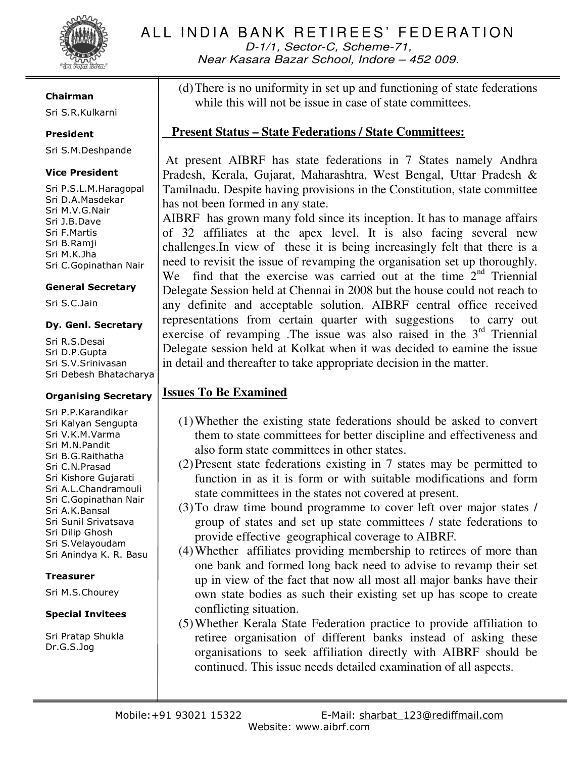

D-1/1, Sector-C, Scheme-71, Near Kasara Bazar School, Indore – 452 009.

#### Chairman

Sri S.R.Kulkarni

## President

Sri S.M.Deshpande

## Vice President

Sri P.S.L.M.Haragopal Sri D.A.Masdekar Sri M.V.G.Nair Sri J.B.Dave Sri F.Martis Sri B.Ramji Sri M.K.Jha Sri C.Gopinathan Nair

### General Secretary

Sri S.C.Jain

#### Dy. Genl. Secretary

Sri R.S.Desai Sri D.P.Gupta Sri S.V.Srinivasan Sri Debesh Bhatacharya

### Organising Secretary

Sri P.P.Karandikar Sri Kalyan Sengupta Sri V.K.M.Varma Sri M.N.Pandit Sri B.G.Raithatha Sri C.N.Prasad Sri Kishore Gujarati Sri A.L.Chandramouli Sri C.Gopinathan Nair Sri A.K.Bansal Sri Sunil Srivatsava Sri Dilip Ghosh Sri S.Velayoudam Sri Anindya K. R. Basu

## **Treasurer**

Sri M.S.Chourey

## Special Invitees

Sri Pratap Shukla Dr.G.S.Jog

(d)There is no uniformity in set up and functioning of state federations while this will not be issue in case of state committees.

## **Present Status – State Federations / State Committees:**

 At present AIBRF has state federations in 7 States namely Andhra Pradesh, Kerala, Gujarat, Maharashtra, West Bengal, Uttar Pradesh & Tamilnadu. Despite having provisions in the Constitution, state committee has not been formed in any state.

AIBRF has grown many fold since its inception. It has to manage affairs of 32 affiliates at the apex level. It is also facing several new challenges.In view of these it is being increasingly felt that there is a need to revisit the issue of revamping the organisation set up thoroughly. We find that the exercise was carried out at the time  $2<sup>nd</sup>$  Triennial Delegate Session held at Chennai in 2008 but the house could not reach to any definite and acceptable solution. AIBRF central office received representations from certain quarter with suggestions to carry out exercise of revamping .The issue was also raised in the  $3<sup>rd</sup>$  Triennial Delegate session held at Kolkat when it was decided to eamine the issue in detail and thereafter to take appropriate decision in the matter.

# **Issues To Be Examined**

- (1)Whether the existing state federations should be asked to convert them to state committees for better discipline and effectiveness and also form state committees in other states.
- (2)Present state federations existing in 7 states may be permitted to function in as it is form or with suitable modifications and form state committees in the states not covered at present.
- (3)To draw time bound programme to cover left over major states / group of states and set up state committees / state federations to provide effective geographical coverage to AIBRF.
- (4)Whether affiliates providing membership to retirees of more than one bank and formed long back need to advise to revamp their set up in view of the fact that now all most all major banks have their own state bodies as such their existing set up has scope to create conflicting situation.
- (5)Whether Kerala State Federation practice to provide affiliation to retiree organisation of different banks instead of asking these organisations to seek affiliation directly with AIBRF should be continued. This issue needs detailed examination of all aspects.